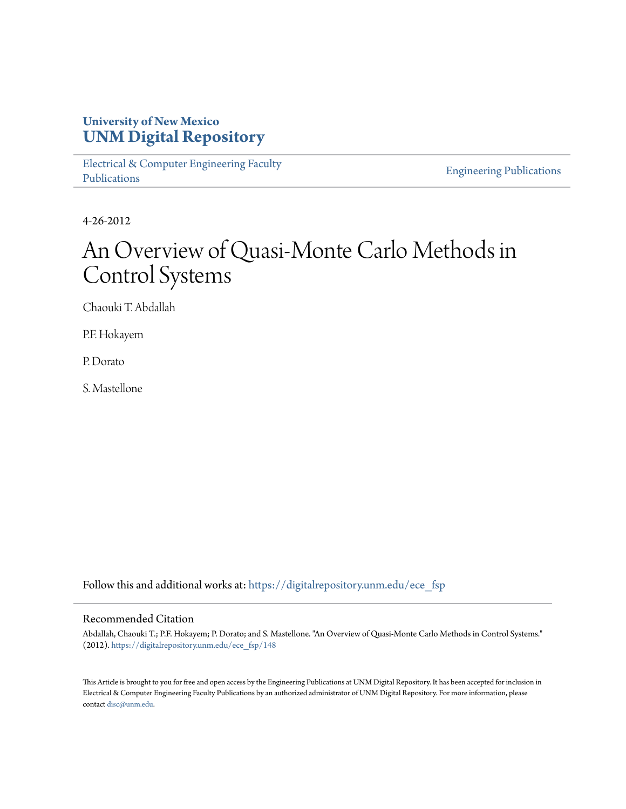# **University of New Mexico [UNM Digital Repository](https://digitalrepository.unm.edu?utm_source=digitalrepository.unm.edu%2Fece_fsp%2F148&utm_medium=PDF&utm_campaign=PDFCoverPages)**

[Electrical & Computer Engineering Faculty](https://digitalrepository.unm.edu/ece_fsp?utm_source=digitalrepository.unm.edu%2Fece_fsp%2F148&utm_medium=PDF&utm_campaign=PDFCoverPages) [Publications](https://digitalrepository.unm.edu/ece_fsp?utm_source=digitalrepository.unm.edu%2Fece_fsp%2F148&utm_medium=PDF&utm_campaign=PDFCoverPages)

[Engineering Publications](https://digitalrepository.unm.edu/eng_fsp?utm_source=digitalrepository.unm.edu%2Fece_fsp%2F148&utm_medium=PDF&utm_campaign=PDFCoverPages)

4-26-2012

# An Overview of Quasi-Monte Carlo Methods in Control Systems

Chaouki T. Abdallah

P.F. Hokayem

P. Dorato

S. Mastellone

Follow this and additional works at: [https://digitalrepository.unm.edu/ece\\_fsp](https://digitalrepository.unm.edu/ece_fsp?utm_source=digitalrepository.unm.edu%2Fece_fsp%2F148&utm_medium=PDF&utm_campaign=PDFCoverPages)

## Recommended Citation

Abdallah, Chaouki T.; P.F. Hokayem; P. Dorato; and S. Mastellone. "An Overview of Quasi-Monte Carlo Methods in Control Systems." (2012). [https://digitalrepository.unm.edu/ece\\_fsp/148](https://digitalrepository.unm.edu/ece_fsp/148?utm_source=digitalrepository.unm.edu%2Fece_fsp%2F148&utm_medium=PDF&utm_campaign=PDFCoverPages)

This Article is brought to you for free and open access by the Engineering Publications at UNM Digital Repository. It has been accepted for inclusion in Electrical & Computer Engineering Faculty Publications by an authorized administrator of UNM Digital Repository. For more information, please contact [disc@unm.edu.](mailto:disc@unm.edu)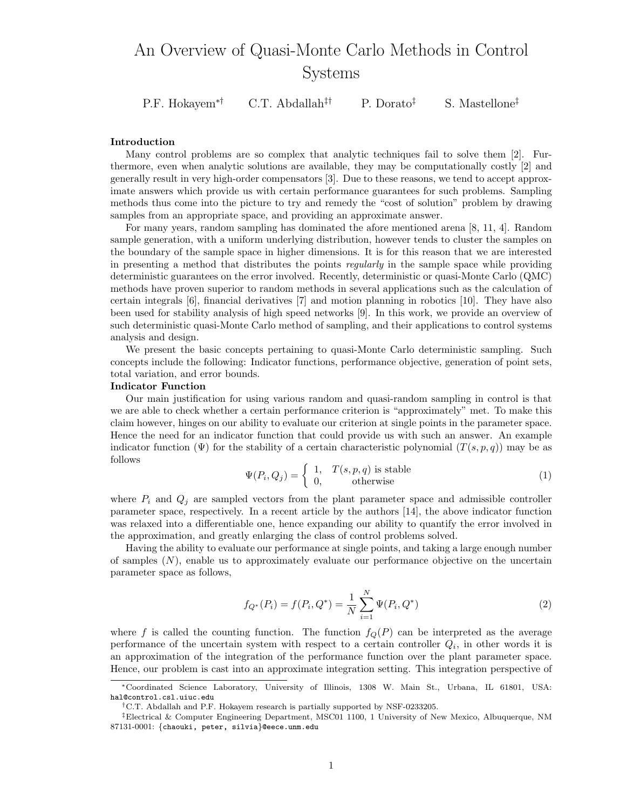# An Overview of Quasi-Monte Carlo Methods in Control Systems

P.F. Hokayem<sup>∗†</sup> C.T. Abdallah<sup>‡†</sup> P. Dorato<sup>‡</sup> S. Mastellone<sup>‡</sup>

#### Introduction

Many control problems are so complex that analytic techniques fail to solve them [2]. Furthermore, even when analytic solutions are available, they may be computationally costly [2] and generally result in very high-order compensators [3]. Due to these reasons, we tend to accept approximate answers which provide us with certain performance guarantees for such problems. Sampling methods thus come into the picture to try and remedy the "cost of solution" problem by drawing samples from an appropriate space, and providing an approximate answer.

For many years, random sampling has dominated the afore mentioned arena [8, 11, 4]. Random sample generation, with a uniform underlying distribution, however tends to cluster the samples on the boundary of the sample space in higher dimensions. It is for this reason that we are interested in presenting a method that distributes the points *regularly* in the sample space while providing deterministic guarantees on the error involved. Recently, deterministic or quasi-Monte Carlo (QMC) methods have proven superior to random methods in several applications such as the calculation of certain integrals [6], financial derivatives [7] and motion planning in robotics [10]. They have also been used for stability analysis of high speed networks [9]. In this work, we provide an overview of such deterministic quasi-Monte Carlo method of sampling, and their applications to control systems analysis and design.

We present the basic concepts pertaining to quasi-Monte Carlo deterministic sampling. Such concepts include the following: Indicator functions, performance objective, generation of point sets, total variation, and error bounds.

#### Indicator Function

Our main justification for using various random and quasi-random sampling in control is that we are able to check whether a certain performance criterion is "approximately" met. To make this claim however, hinges on our ability to evaluate our criterion at single points in the parameter space. Hence the need for an indicator function that could provide us with such an answer. An example indicator function  $(\Psi)$  for the stability of a certain characteristic polynomial  $(T(s, p, q))$  may be as follows

$$
\Psi(P_i, Q_j) = \begin{cases} 1, & T(s, p, q) \text{ is stable} \\ 0, & \text{otherwise} \end{cases}
$$
\n(1)

where  $P_i$  and  $Q_j$  are sampled vectors from the plant parameter space and admissible controller parameter space, respectively. In a recent article by the authors [14], the above indicator function was relaxed into a differentiable one, hence expanding our ability to quantify the error involved in the approximation, and greatly enlarging the class of control problems solved.

Having the ability to evaluate our performance at single points, and taking a large enough number of samples  $(N)$ , enable us to approximately evaluate our performance objective on the uncertain parameter space as follows,

$$
f_{Q^*}(P_i) = f(P_i, Q^*) = \frac{1}{N} \sum_{i=1}^{N} \Psi(P_i, Q^*)
$$
\n(2)

where f is called the counting function. The function  $f_{Q}(P)$  can be interpreted as the average performance of the uncertain system with respect to a certain controller  $Q_i$ , in other words it is an approximation of the integration of the performance function over the plant parameter space. Hence, our problem is cast into an approximate integration setting. This integration perspective of

<sup>∗</sup>Coordinated Science Laboratory, University of Illinois, 1308 W. Main St., Urbana, IL 61801, USA: hal@control.csl.uiuc.edu

<sup>&</sup>lt;sup>†</sup>C.T. Abdallah and P.F. Hokayem research is partially supported by NSF-0233205.

<sup>‡</sup>Electrical & Computer Engineering Department, MSC01 1100, 1 University of New Mexico, Albuquerque, NM 87131-0001: {chaouki, peter, silvia}@eece.unm.edu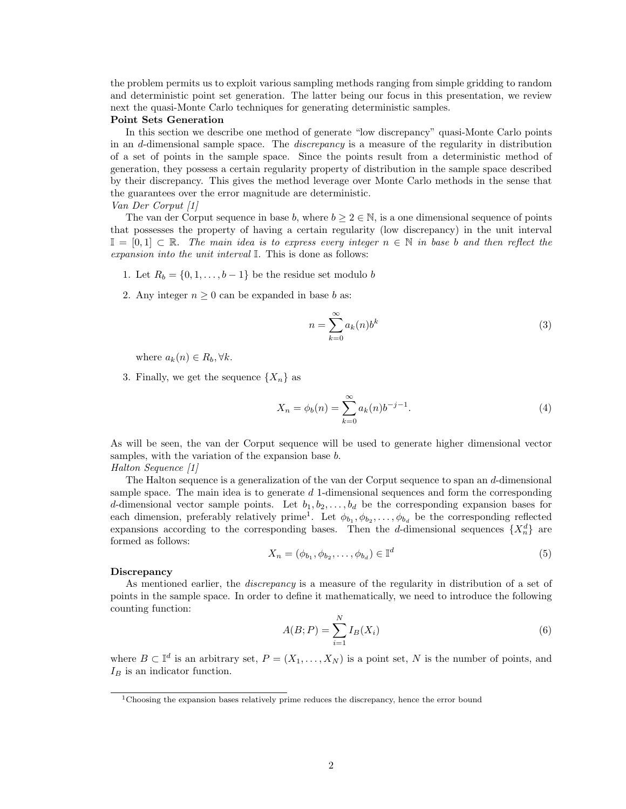the problem permits us to exploit various sampling methods ranging from simple gridding to random and deterministic point set generation. The latter being our focus in this presentation, we review next the quasi-Monte Carlo techniques for generating deterministic samples.

#### Point Sets Generation

In this section we describe one method of generate "low discrepancy" quasi-Monte Carlo points in an d-dimensional sample space. The discrepancy is a measure of the regularity in distribution of a set of points in the sample space. Since the points result from a deterministic method of generation, they possess a certain regularity property of distribution in the sample space described by their discrepancy. This gives the method leverage over Monte Carlo methods in the sense that the guarantees over the error magnitude are deterministic.

#### Van Der Corput [1]

The van der Corput sequence in base b, where  $b \ge 2 \in \mathbb{N}$ , is a one dimensional sequence of points that possesses the property of having a certain regularity (low discrepancy) in the unit interval  $\mathbb{I} = [0,1] \subset \mathbb{R}$ . The main idea is to express every integer  $n \in \mathbb{N}$  in base b and then reflect the expansion into the unit interval I. This is done as follows:

- 1. Let  $R_b = \{0, 1, \ldots, b-1\}$  be the residue set modulo b
- 2. Any integer  $n \geq 0$  can be expanded in base b as:

$$
n = \sum_{k=0}^{\infty} a_k(n) b^k
$$
 (3)

where  $a_k(n) \in R_b, \forall k$ .

3. Finally, we get the sequence  $\{X_n\}$  as

$$
X_n = \phi_b(n) = \sum_{k=0}^{\infty} a_k(n) b^{-j-1}.
$$
 (4)

As will be seen, the van der Corput sequence will be used to generate higher dimensional vector samples, with the variation of the expansion base  $b$ . Halton Sequence [1]

The Halton sequence is a generalization of the van der Corput sequence to span an d-dimensional sample space. The main idea is to generate  $d$  1-dimensional sequences and form the corresponding d-dimensional vector sample points. Let  $b_1, b_2, \ldots, b_d$  be the corresponding expansion bases for each dimension, preferably relatively prime<sup>1</sup>. Let  $\phi_{b_1}, \phi_{b_2}, \ldots, \phi_{b_d}$  be the corresponding reflected expansions according to the corresponding bases. Then the d-dimensional sequences  $\{X_n^d\}$  are formed as follows:

$$
X_n = (\phi_{b_1}, \phi_{b_2}, \dots, \phi_{b_d}) \in \mathbb{I}^d
$$
\n
$$
(5)
$$

#### Discrepancy

As mentioned earlier, the *discrepancy* is a measure of the regularity in distribution of a set of points in the sample space. In order to define it mathematically, we need to introduce the following counting function:

$$
A(B; P) = \sum_{i=1}^{N} I_B(X_i)
$$
 (6)

where  $B \subset \mathbb{I}^d$  is an arbitrary set,  $P = (X_1, \ldots, X_N)$  is a point set, N is the number of points, and  $I_B$  is an indicator function.

<sup>&</sup>lt;sup>1</sup>Choosing the expansion bases relatively prime reduces the discrepancy, hence the error bound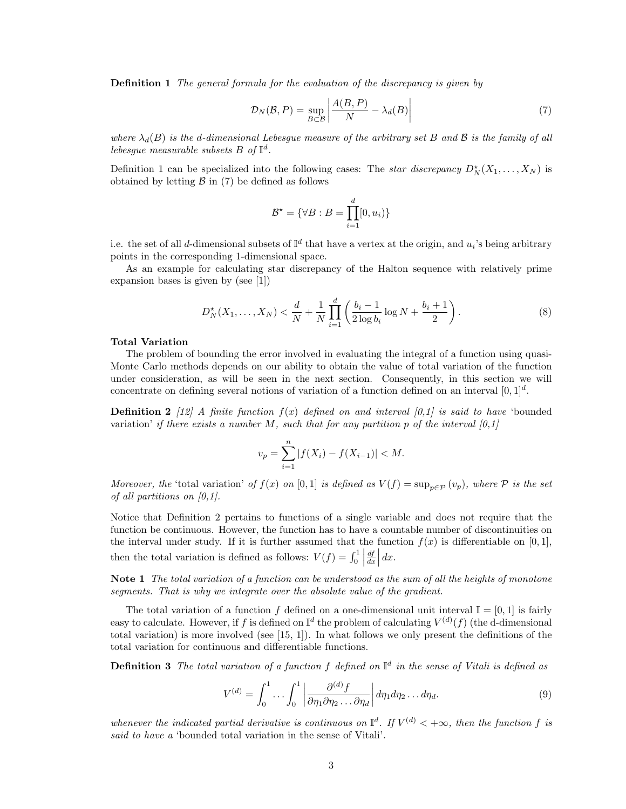Definition 1 The general formula for the evaluation of the discrepancy is given by

$$
\mathcal{D}_N(\mathcal{B}, P) = \sup_{B \subset \mathcal{B}} \left| \frac{A(B, P)}{N} - \lambda_d(B) \right| \tag{7}
$$

where  $\lambda_d(B)$  is the d-dimensional Lebesque measure of the arbitrary set B and B is the family of all lebesgue measurable subsets  $B$  of  $\mathbb{I}^d$ .

Definition 1 can be specialized into the following cases: The *star discrepancy*  $D_N^*(X_1, \ldots, X_N)$  is obtained by letting  $\beta$  in (7) be defined as follows

$$
\mathcal{B}^{\star} = \{ \forall B : B = \prod_{i=1}^{d} [0, u_i) \}
$$

i.e. the set of all d-dimensional subsets of  $\mathbb{I}^d$  that have a vertex at the origin, and  $u_i$ 's being arbitrary points in the corresponding 1-dimensional space.

As an example for calculating star discrepancy of the Halton sequence with relatively prime expansion bases is given by (see [1])

$$
D_N^{\star}(X_1, \dots, X_N) < \frac{d}{N} + \frac{1}{N} \prod_{i=1}^d \left( \frac{b_i - 1}{2 \log b_i} \log N + \frac{b_i + 1}{2} \right). \tag{8}
$$

#### Total Variation

The problem of bounding the error involved in evaluating the integral of a function using quasi-Monte Carlo methods depends on our ability to obtain the value of total variation of the function under consideration, as will be seen in the next section. Consequently, in this section we will concentrate on defining several notions of variation of a function defined on an interval  $[0,1]^d$ .

**Definition 2** [12] A finite function  $f(x)$  defined on and interval [0,1] is said to have 'bounded variation' if there exists a number M, such that for any partition p of the interval  $[0,1]$ 

$$
v_p = \sum_{i=1}^{n} |f(X_i) - f(X_{i-1})| < M.
$$

Moreover, the 'total variation' of  $f(x)$  on [0,1] is defined as  $V(f) = \sup_{p \in \mathcal{P}} (v_p)$ , where  $\mathcal P$  is the set of all partitions on  $[0,1]$ .

Notice that Definition 2 pertains to functions of a single variable and does not require that the function be continuous. However, the function has to have a countable number of discontinuities on the interval under study. If it is further assumed that the function  $f(x)$  is differentiable on [0, 1], then the total variation is defined as follows:  $V(f) = \int_0^1 |$  $\frac{df}{dx}\Big| dx.$ 

Note 1 The total variation of a function can be understood as the sum of all the heights of monotone segments. That is why we integrate over the absolute value of the gradient.

The total variation of a function f defined on a one-dimensional unit interval  $\mathbb{I} = [0,1]$  is fairly easy to calculate. However, if f is defined on  $\mathbb{I}^d$  the problem of calculating  $V^{(d)}(f)$  (the d-dimensional total variation) is more involved (see [15, 1]). In what follows we only present the definitions of the total variation for continuous and differentiable functions.

**Definition 3** The total variation of a function f defined on  $\mathbb{I}^d$  in the sense of Vitali is defined as

$$
V^{(d)} = \int_0^1 \cdots \int_0^1 \left| \frac{\partial^{(d)} f}{\partial \eta_1 \partial \eta_2 \dots \partial \eta_d} \right| d\eta_1 d\eta_2 \dots d\eta_d.
$$
 (9)

whenever the indicated partial derivative is continuous on  $\mathbb{I}^d$ . If  $V^{(d)} < +\infty$ , then the function f is said to have a 'bounded total variation in the sense of Vitali'.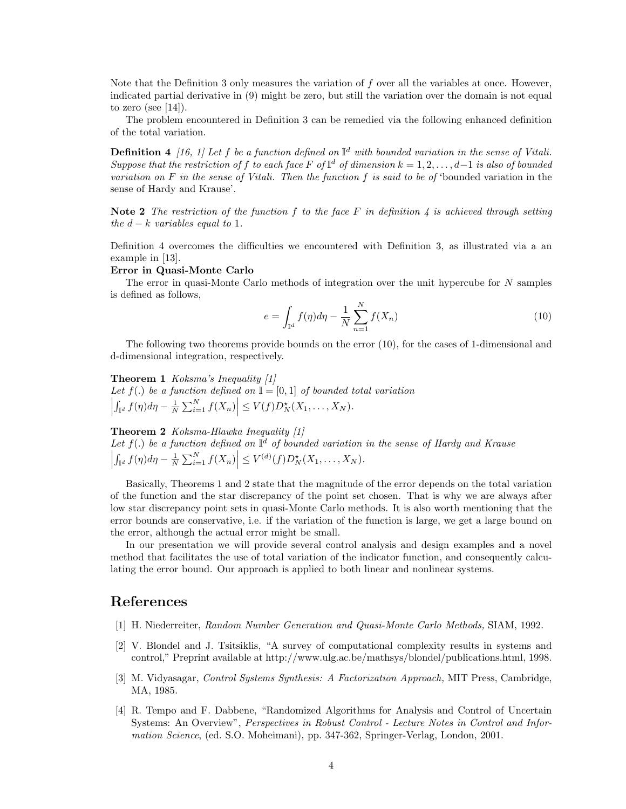Note that the Definition 3 only measures the variation of f over all the variables at once. However, indicated partial derivative in (9) might be zero, but still the variation over the domain is not equal to zero (see  $[14]$ ).

The problem encountered in Definition 3 can be remedied via the following enhanced definition of the total variation.

**Definition 4** [16, 1] Let f be a function defined on  $\mathbb{I}^d$  with bounded variation in the sense of Vitali. Suppose that the restriction of f to each face F of  $\mathbb{I}^d$  of dimension  $k = 1, 2, \ldots, d-1$  is also of bounded variation on F in the sense of Vitali. Then the function f is said to be of 'bounded variation in the sense of Hardy and Krause'.

Note 2 The restriction of the function f to the face F in definition 4 is achieved through setting the  $d - k$  variables equal to 1.

Definition 4 overcomes the difficulties we encountered with Definition 3, as illustrated via a an example in [13].

#### Error in Quasi-Monte Carlo

The error in quasi-Monte Carlo methods of integration over the unit hypercube for N samples is defined as follows,

$$
e = \int_{\mathbb{I}^d} f(\eta) d\eta - \frac{1}{N} \sum_{n=1}^N f(X_n)
$$
 (10)

The following two theorems provide bounds on the error (10), for the cases of 1-dimensional and d-dimensional integration, respectively.

Theorem 1 Koksma's Inequality [1] Let  $f(.)$  be a function defined on  $\mathbb{I} = [0,1]$  of bounded total variation  $\begin{array}{c} \begin{array}{c} \begin{array}{c} \end{array}\\ \begin{array}{c} \end{array} \end{array} \end{array}$  $\int_{\mathbb{I}^d} f(\eta) d\eta - \frac{1}{N} \sum_{i=1}^N f(X_n) \Big| \le V(f) D_N^*(X_1,\ldots,X_N).$ 

### Theorem 2 Koksma-Hlawka Inequality [1]

Let  $f(.)$  be a function defined on  $\mathbb{I}^d$  of bounded variation in the sense of Hardy and Krause  $\int_{\mathbb{T}^d} f(\eta) d\eta - \frac{1}{N} \sum_{i=1}^N f(X_n) \Big| \leq V^{(d)}(f) D_N^*(X_1, \dots, X_N).$ 

Basically, Theorems 1 and 2 state that the magnitude of the error depends on the total variation of the function and the star discrepancy of the point set chosen. That is why we are always after low star discrepancy point sets in quasi-Monte Carlo methods. It is also worth mentioning that the error bounds are conservative, i.e. if the variation of the function is large, we get a large bound on the error, although the actual error might be small.

In our presentation we will provide several control analysis and design examples and a novel method that facilitates the use of total variation of the indicator function, and consequently calculating the error bound. Our approach is applied to both linear and nonlinear systems.

## References

- [1] H. Niederreiter, Random Number Generation and Quasi-Monte Carlo Methods, SIAM, 1992.
- [2] V. Blondel and J. Tsitsiklis, "A survey of computational complexity results in systems and control," Preprint available at http://www.ulg.ac.be/mathsys/blondel/publications.html, 1998.
- [3] M. Vidyasagar, Control Systems Synthesis: A Factorization Approach, MIT Press, Cambridge, MA, 1985.
- [4] R. Tempo and F. Dabbene, "Randomized Algorithms for Analysis and Control of Uncertain Systems: An Overview", Perspectives in Robust Control - Lecture Notes in Control and Information Science, (ed. S.O. Moheimani), pp. 347-362, Springer-Verlag, London, 2001.